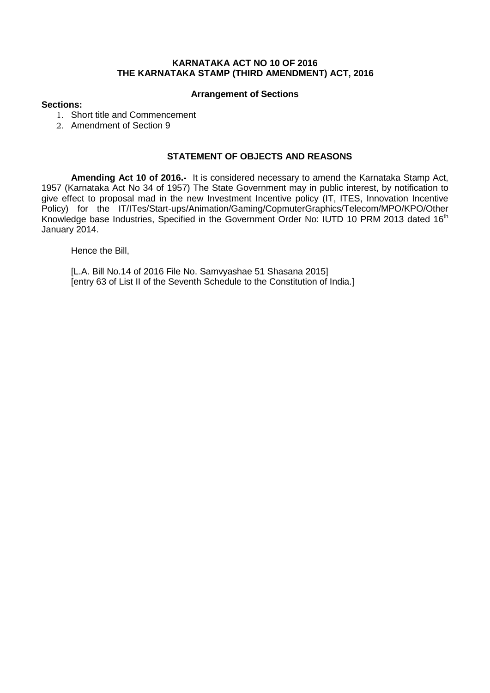# **KARNATAKA ACT NO 10 OF 2016 THE KARNATAKA STAMP (THIRD AMENDMENT) ACT, 2016**

#### **Arrangement of Sections**

## **Sections:**

- 1. Short title and Commencement
- 2. Amendment of Section 9

## **STATEMENT OF OBJECTS AND REASONS**

**Amending Act 10 of 2016.-** It is considered necessary to amend the Karnataka Stamp Act, 1957 (Karnataka Act No 34 of 1957) The State Government may in public interest, by notification to give effect to proposal mad in the new Investment Incentive policy (IT, ITES, Innovation Incentive Policy) for the IT/ITes/Start-ups/Animation/Gaming/CopmuterGraphics/Telecom/MPO/KPO/Other Knowledge base Industries, Specified in the Government Order No: IUTD 10 PRM 2013 dated 16<sup>th</sup> January 2014.

Hence the Bill,

[L.A. Bill No.14 of 2016 File No. Samvyashae 51 Shasana 2015] [entry 63 of List II of the Seventh Schedule to the Constitution of India.]